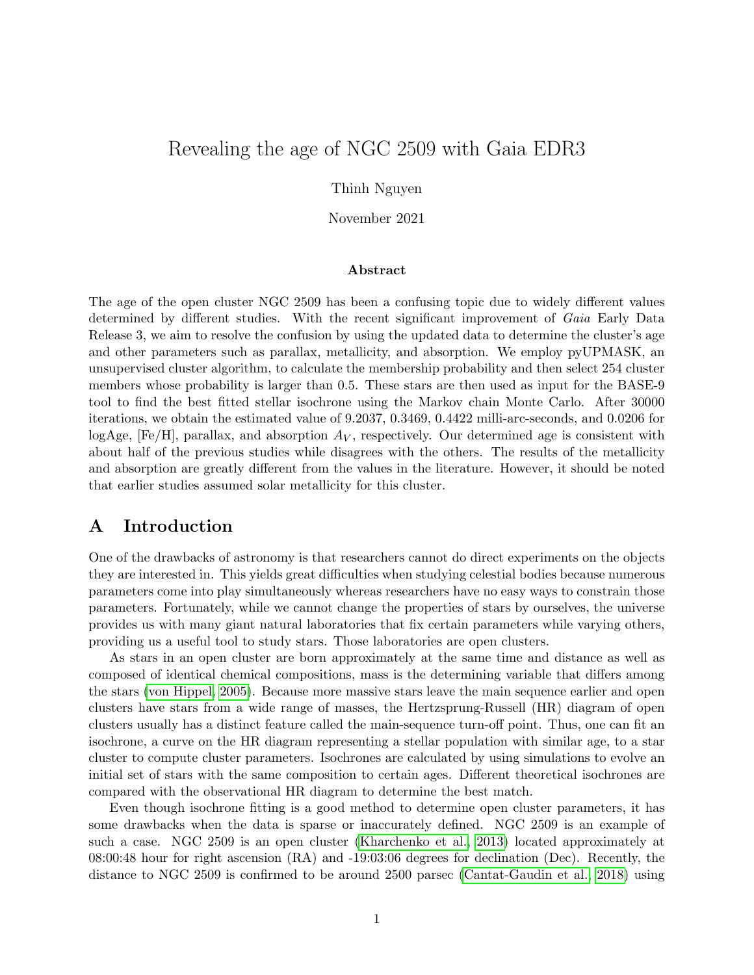# Revealing the age of NGC 2509 with Gaia EDR3

Thinh Nguyen

November 2021

#### Abstract

The age of the open cluster NGC 2509 has been a confusing topic due to widely different values determined by different studies. With the recent significant improvement of Gaia Early Data Release 3, we aim to resolve the confusion by using the updated data to determine the cluster's age and other parameters such as parallax, metallicity, and absorption. We employ pyUPMASK, an unsupervised cluster algorithm, to calculate the membership probability and then select 254 cluster members whose probability is larger than 0.5. These stars are then used as input for the BASE-9 tool to find the best fitted stellar isochrone using the Markov chain Monte Carlo. After 30000 iterations, we obtain the estimated value of 9.2037, 0.3469, 0.4422 milli-arc-seconds, and 0.0206 for logAge, [Fe/H], parallax, and absorption  $A_V$ , respectively. Our determined age is consistent with about half of the previous studies while disagrees with the others. The results of the metallicity and absorption are greatly different from the values in the literature. However, it should be noted that earlier studies assumed solar metallicity for this cluster.

## A Introduction

One of the drawbacks of astronomy is that researchers cannot do direct experiments on the objects they are interested in. This yields great difficulties when studying celestial bodies because numerous parameters come into play simultaneously whereas researchers have no easy ways to constrain those parameters. Fortunately, while we cannot change the properties of stars by ourselves, the universe provides us with many giant natural laboratories that fix certain parameters while varying others, providing us a useful tool to study stars. Those laboratories are open clusters.

As stars in an open cluster are born approximately at the same time and distance as well as composed of identical chemical compositions, mass is the determining variable that differs among the stars [\(von Hippel, 2005\)](#page-9-0). Because more massive stars leave the main sequence earlier and open clusters have stars from a wide range of masses, the Hertzsprung-Russell (HR) diagram of open clusters usually has a distinct feature called the main-sequence turn-off point. Thus, one can fit an isochrone, a curve on the HR diagram representing a stellar population with similar age, to a star cluster to compute cluster parameters. Isochrones are calculated by using simulations to evolve an initial set of stars with the same composition to certain ages. Different theoretical isochrones are compared with the observational HR diagram to determine the best match.

Even though isochrone fitting is a good method to determine open cluster parameters, it has some drawbacks when the data is sparse or inaccurately defined. NGC 2509 is an example of such a case. NGC 2509 is an open cluster [\(Kharchenko et al., 2013\)](#page-8-0) located approximately at 08:00:48 hour for right ascension (RA) and -19:03:06 degrees for declination (Dec). Recently, the distance to NGC 2509 is confirmed to be around 2500 parsec [\(Cantat-Gaudin et al., 2018\)](#page-8-1) using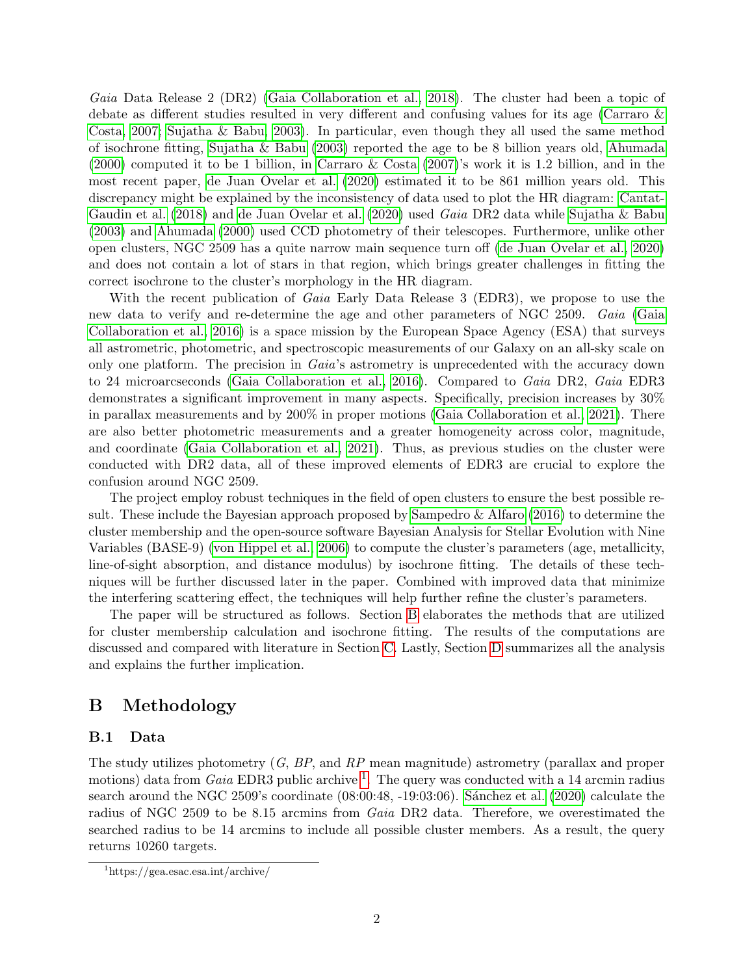Gaia Data Release 2 (DR2) [\(Gaia Collaboration et al., 2018\)](#page-8-2). The cluster had been a topic of debate as different studies resulted in very different and confusing values for its age [\(Carraro &](#page-8-3) [Costa, 2007;](#page-8-3) [Sujatha & Babu, 2003\)](#page-9-1). In particular, even though they all used the same method of isochrone fitting, [Sujatha & Babu](#page-9-1) [\(2003\)](#page-9-1) reported the age to be 8 billion years old, [Ahumada](#page-8-4) [\(2000\)](#page-8-4) computed it to be 1 billion, in [Carraro & Costa](#page-8-3) [\(2007\)](#page-8-3)'s work it is 1.2 billion, and in the most recent paper, [de Juan Ovelar et al.](#page-8-5) [\(2020\)](#page-8-5) estimated it to be 861 million years old. This discrepancy might be explained by the inconsistency of data used to plot the HR diagram: [Cantat-](#page-8-1)[Gaudin et al.](#page-8-1) [\(2018\)](#page-8-1) and [de Juan Ovelar et al.](#page-8-5) [\(2020\)](#page-8-5) used Gaia DR2 data while [Sujatha & Babu](#page-9-1) [\(2003\)](#page-9-1) and [Ahumada](#page-8-4) [\(2000\)](#page-8-4) used CCD photometry of their telescopes. Furthermore, unlike other open clusters, NGC 2509 has a quite narrow main sequence turn off [\(de Juan Ovelar et al., 2020\)](#page-8-5) and does not contain a lot of stars in that region, which brings greater challenges in fitting the correct isochrone to the cluster's morphology in the HR diagram.

With the recent publication of *Gaia* Early Data Release 3 (EDR3), we propose to use the new data to verify and re-determine the age and other parameters of NGC 2509. Gaia [\(Gaia](#page-8-6) [Collaboration et al., 2016\)](#page-8-6) is a space mission by the European Space Agency (ESA) that surveys all astrometric, photometric, and spectroscopic measurements of our Galaxy on an all-sky scale on only one platform. The precision in Gaia's astrometry is unprecedented with the accuracy down to 24 microarcseconds [\(Gaia Collaboration et al., 2016\)](#page-8-6). Compared to Gaia DR2, Gaia EDR3 demonstrates a significant improvement in many aspects. Specifically, precision increases by 30% in parallax measurements and by 200% in proper motions [\(Gaia Collaboration et al., 2021\)](#page-8-7). There are also better photometric measurements and a greater homogeneity across color, magnitude, and coordinate [\(Gaia Collaboration et al., 2021\)](#page-8-7). Thus, as previous studies on the cluster were conducted with DR2 data, all of these improved elements of EDR3 are crucial to explore the confusion around NGC 2509.

The project employ robust techniques in the field of open clusters to ensure the best possible result. These include the Bayesian approach proposed by [Sampedro & Alfaro](#page-8-8) [\(2016\)](#page-8-8) to determine the cluster membership and the open-source software Bayesian Analysis for Stellar Evolution with Nine Variables (BASE-9) [\(von Hippel et al., 2006\)](#page-9-2) to compute the cluster's parameters (age, metallicity, line-of-sight absorption, and distance modulus) by isochrone fitting. The details of these techniques will be further discussed later in the paper. Combined with improved data that minimize the interfering scattering effect, the techniques will help further refine the cluster's parameters.

The paper will be structured as follows. Section [B](#page-1-0) elaborates the methods that are utilized for cluster membership calculation and isochrone fitting. The results of the computations are discussed and compared with literature in Section [C.](#page-5-0) Lastly, Section [D](#page-7-0) summarizes all the analysis and explains the further implication.

## <span id="page-1-0"></span>B Methodology

### B.1 Data

The study utilizes photometry  $(G, BP, and RP)$  mean magnitude) astrometry (parallax and proper motions) data from *Gaia* EDR3 public archive <sup>[1](#page-1-1)</sup>. The query was conducted with a 14 arcmin radius search around the NGC 2509's coordinate (08:00:48, -19:03:06). Sánchez et al. [\(2020\)](#page-9-3) calculate the radius of NGC 2509 to be 8.15 arcmins from Gaia DR2 data. Therefore, we overestimated the searched radius to be 14 arcmins to include all possible cluster members. As a result, the query returns 10260 targets.

<span id="page-1-1"></span><sup>1</sup>https://gea.esac.esa.int/archive/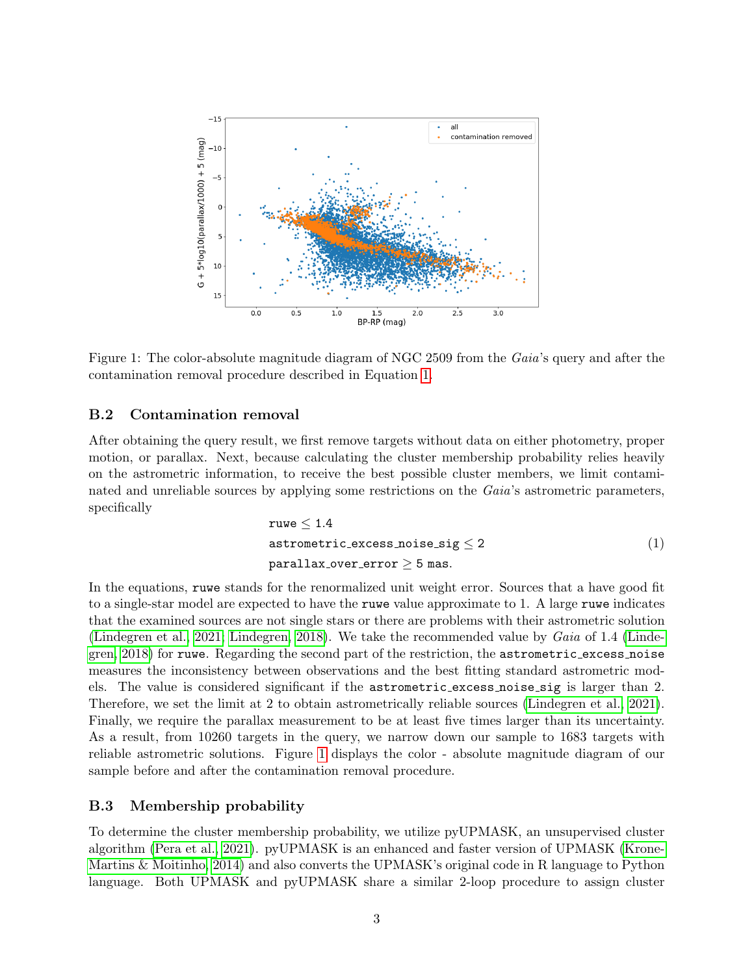

<span id="page-2-1"></span>Figure 1: The color-absolute magnitude diagram of NGC 2509 from the Gaia's query and after the contamination removal procedure described in Equation [1.](#page-2-0)

### B.2 Contamination removal

<span id="page-2-0"></span>After obtaining the query result, we first remove targets without data on either photometry, proper motion, or parallax. Next, because calculating the cluster membership probability relies heavily on the astrometric information, to receive the best possible cluster members, we limit contaminated and unreliable sources by applying some restrictions on the Gaia's astrometric parameters, specifically

$$
\begin{aligned}\n\texttt{ruwe} &\leq 1.4 \\
\texttt{astrometric\_excess\_noise\_sig} &\leq 2 \\
\texttt{parallax\_over\_error} &\geq 5 \text{ mas.}\n\end{aligned}\n\tag{1}
$$

In the equations, ruwe stands for the renormalized unit weight error. Sources that a have good fit to a single-star model are expected to have the ruwe value approximate to 1. A large ruwe indicates that the examined sources are not single stars or there are problems with their astrometric solution [\(Lindegren et al., 2021;](#page-8-9) [Lindegren, 2018\)](#page-8-10). We take the recommended value by Gaia of 1.4 [\(Linde](#page-8-10)[gren, 2018\)](#page-8-10) for ruwe. Regarding the second part of the restriction, the astrometric excess noise measures the inconsistency between observations and the best fitting standard astrometric models. The value is considered significant if the astrometric excess noise sig is larger than 2. Therefore, we set the limit at 2 to obtain astrometrically reliable sources [\(Lindegren et al., 2021\)](#page-8-9). Finally, we require the parallax measurement to be at least five times larger than its uncertainty. As a result, from 10260 targets in the query, we narrow down our sample to 1683 targets with reliable astrometric solutions. Figure [1](#page-2-1) displays the color - absolute magnitude diagram of our sample before and after the contamination removal procedure.

### <span id="page-2-2"></span>B.3 Membership probability

To determine the cluster membership probability, we utilize pyUPMASK, an unsupervised cluster algorithm [\(Pera et al., 2021\)](#page-8-11). pyUPMASK is an enhanced and faster version of UPMASK [\(Krone-](#page-8-12)[Martins & Moitinho, 2014\)](#page-8-12) and also converts the UPMASK's original code in R language to Python language. Both UPMASK and pyUPMASK share a similar 2-loop procedure to assign cluster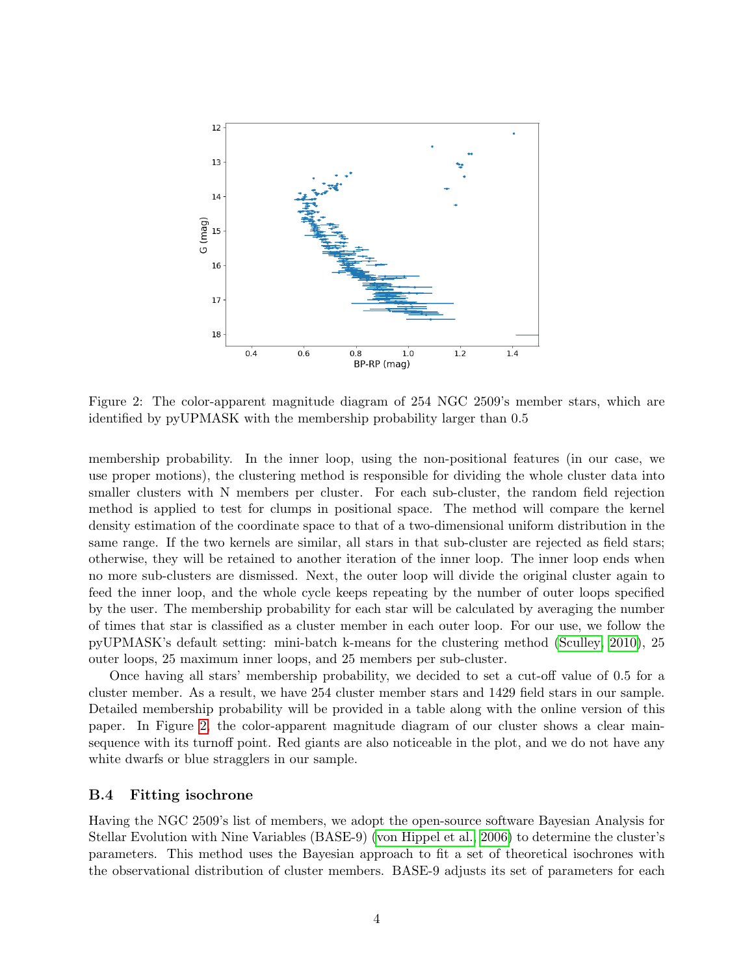

<span id="page-3-0"></span>Figure 2: The color-apparent magnitude diagram of 254 NGC 2509's member stars, which are identified by pyUPMASK with the membership probability larger than 0.5

membership probability. In the inner loop, using the non-positional features (in our case, we use proper motions), the clustering method is responsible for dividing the whole cluster data into smaller clusters with N members per cluster. For each sub-cluster, the random field rejection method is applied to test for clumps in positional space. The method will compare the kernel density estimation of the coordinate space to that of a two-dimensional uniform distribution in the same range. If the two kernels are similar, all stars in that sub-cluster are rejected as field stars; otherwise, they will be retained to another iteration of the inner loop. The inner loop ends when no more sub-clusters are dismissed. Next, the outer loop will divide the original cluster again to feed the inner loop, and the whole cycle keeps repeating by the number of outer loops specified by the user. The membership probability for each star will be calculated by averaging the number of times that star is classified as a cluster member in each outer loop. For our use, we follow the pyUPMASK's default setting: mini-batch k-means for the clustering method [\(Sculley, 2010\)](#page-9-4), 25 outer loops, 25 maximum inner loops, and 25 members per sub-cluster.

Once having all stars' membership probability, we decided to set a cut-off value of 0.5 for a cluster member. As a result, we have 254 cluster member stars and 1429 field stars in our sample. Detailed membership probability will be provided in a table along with the online version of this paper. In Figure [2,](#page-3-0) the color-apparent magnitude diagram of our cluster shows a clear mainsequence with its turnoff point. Red giants are also noticeable in the plot, and we do not have any white dwarfs or blue stragglers in our sample.

#### <span id="page-3-1"></span>B.4 Fitting isochrone

Having the NGC 2509's list of members, we adopt the open-source software Bayesian Analysis for Stellar Evolution with Nine Variables (BASE-9) [\(von Hippel et al., 2006\)](#page-9-2) to determine the cluster's parameters. This method uses the Bayesian approach to fit a set of theoretical isochrones with the observational distribution of cluster members. BASE-9 adjusts its set of parameters for each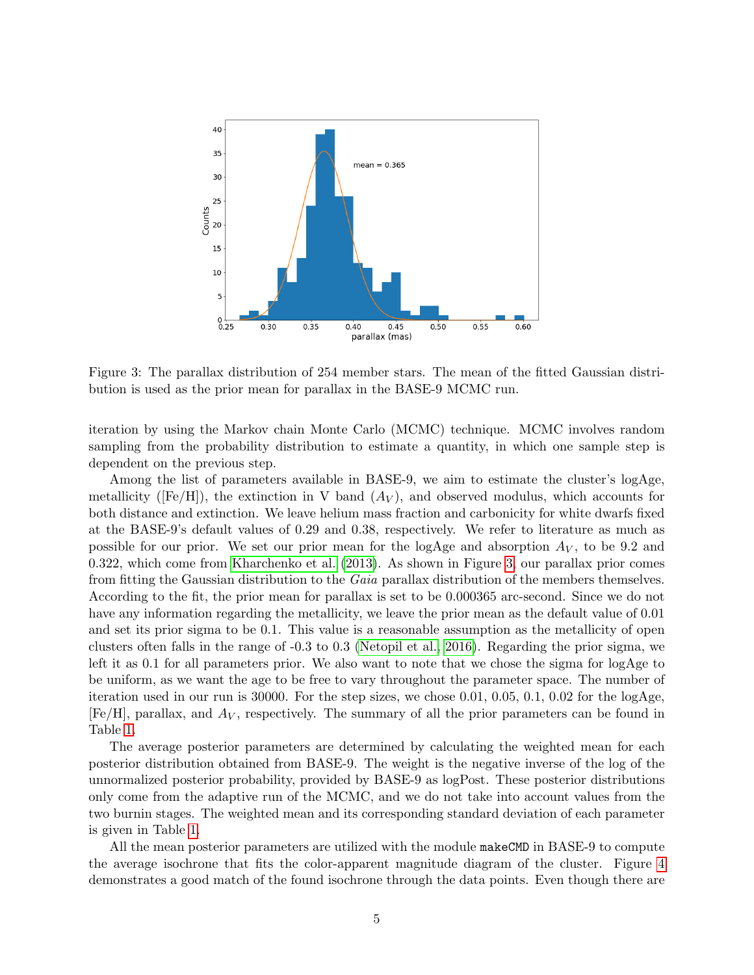

<span id="page-4-0"></span>Figure 3: The parallax distribution of 254 member stars. The mean of the fitted Gaussian distribution is used as the prior mean for parallax in the BASE-9 MCMC run.

iteration by using the Markov chain Monte Carlo (MCMC) technique. MCMC involves random sampling from the probability distribution to estimate a quantity, in which one sample step is dependent on the previous step.

Among the list of parameters available in BASE-9, we aim to estimate the cluster's logAge, metallicity ( $[Fe/H]$ ), the extinction in V band  $(A_V)$ , and observed modulus, which accounts for both distance and extinction. We leave helium mass fraction and carbonicity for white dwarfs fixed at the BASE-9's default values of 0.29 and 0.38, respectively. We refer to literature as much as possible for our prior. We set our prior mean for the logAge and absorption  $A_V$ , to be 9.2 and 0.322, which come from [Kharchenko et al.](#page-8-0) [\(2013\)](#page-8-0). As shown in Figure [3,](#page-4-0) our parallax prior comes from fitting the Gaussian distribution to the Gaia parallax distribution of the members themselves. According to the fit, the prior mean for parallax is set to be 0.000365 arc-second. Since we do not have any information regarding the metallicity, we leave the prior mean as the default value of 0.01 and set its prior sigma to be 0.1. This value is a reasonable assumption as the metallicity of open clusters often falls in the range of -0.3 to 0.3 [\(Netopil et al., 2016\)](#page-8-13). Regarding the prior sigma, we left it as 0.1 for all parameters prior. We also want to note that we chose the sigma for logAge to be uniform, as we want the age to be free to vary throughout the parameter space. The number of iteration used in our run is 30000. For the step sizes, we chose 0.01, 0.05, 0.1, 0.02 for the  $logAge$  $[Fe/H]$ , parallax, and  $A_V$ , respectively. The summary of all the prior parameters can be found in Table [1.](#page-5-1)

The average posterior parameters are determined by calculating the weighted mean for each posterior distribution obtained from BASE-9. The weight is the negative inverse of the log of the unnormalized posterior probability, provided by BASE-9 as logPost. These posterior distributions only come from the adaptive run of the MCMC, and we do not take into account values from the two burnin stages. The weighted mean and its corresponding standard deviation of each parameter is given in Table [1.](#page-5-1)

All the mean posterior parameters are utilized with the module makeCMD in BASE-9 to compute the average isochrone that fits the color-apparent magnitude diagram of the cluster. Figure [4](#page-5-2) demonstrates a good match of the found isochrone through the data points. Even though there are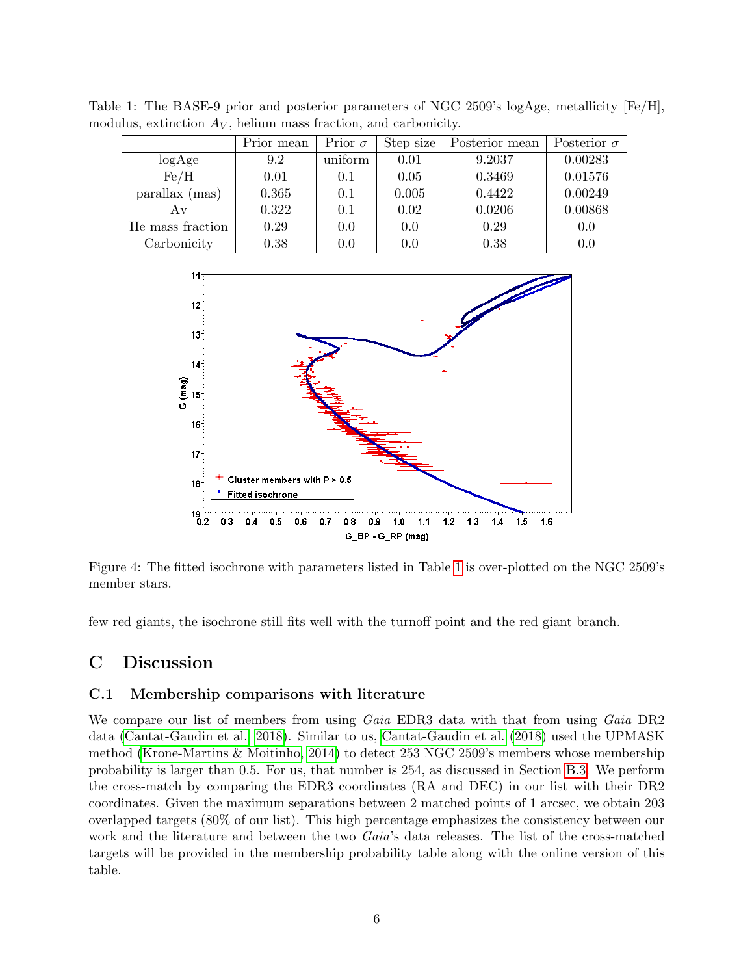<span id="page-5-1"></span>

|                  | Prior mean | Prior $\sigma$ | Step size | Posterior mean | Posterior $\sigma$ |  |
|------------------|------------|----------------|-----------|----------------|--------------------|--|
| log Age          | 9.2        | uniform        | 0.01      | 9.2037         | 0.00283            |  |
| Fe/H             | 0.01       | 0.1            | 0.05      | 0.3469         | 0.01576            |  |
| parallax (mas)   | 0.365      | 0.1            | 0.005     | 0.4422         | 0.00249            |  |
| Αv               | 0.322      | 0.1            | 0.02      | 0.0206         | 0.00868            |  |
| He mass fraction | 0.29       | 0.0            | 0.0       | 0.29           | 0.0                |  |
| Carbonicity      | 0.38       | $0.0\,$        | 0.0       | 0.38           | 0.0                |  |

Table 1: The BASE-9 prior and posterior parameters of NGC 2509's logAge, metallicity [Fe/H], modulus, extinction  $A_V$ , helium mass fraction, and carbonicity.



<span id="page-5-2"></span>Figure 4: The fitted isochrone with parameters listed in Table [1](#page-5-1) is over-plotted on the NGC 2509's member stars.

few red giants, the isochrone still fits well with the turnoff point and the red giant branch.

# <span id="page-5-0"></span>C Discussion

### C.1 Membership comparisons with literature

We compare our list of members from using Gaia EDR3 data with that from using Gaia DR2 data [\(Cantat-Gaudin et al., 2018\)](#page-8-1). Similar to us, [Cantat-Gaudin et al.](#page-8-1) [\(2018\)](#page-8-1) used the UPMASK method [\(Krone-Martins & Moitinho, 2014\)](#page-8-12) to detect 253 NGC 2509's members whose membership probability is larger than 0.5. For us, that number is 254, as discussed in Section [B.3.](#page-2-2) We perform the cross-match by comparing the EDR3 coordinates (RA and DEC) in our list with their DR2 coordinates. Given the maximum separations between 2 matched points of 1 arcsec, we obtain 203 overlapped targets (80% of our list). This high percentage emphasizes the consistency between our work and the literature and between the two Gaia's data releases. The list of the cross-matched targets will be provided in the membership probability table along with the online version of this table.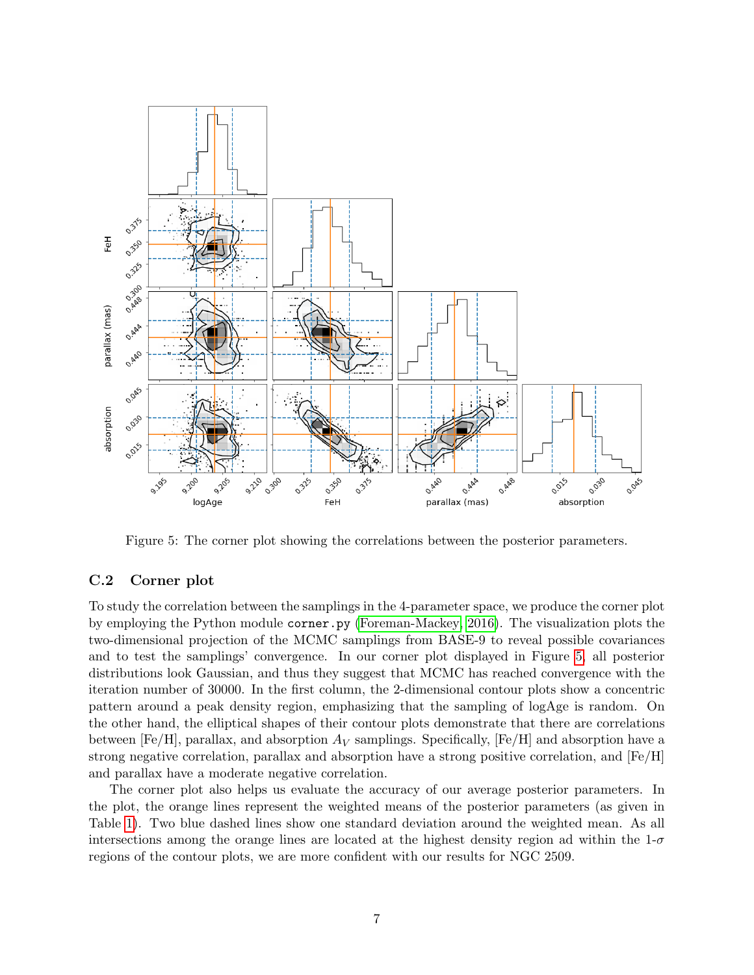

<span id="page-6-0"></span>Figure 5: The corner plot showing the correlations between the posterior parameters.

### C.2 Corner plot

To study the correlation between the samplings in the 4-parameter space, we produce the corner plot by employing the Python module corner.py [\(Foreman-Mackey, 2016\)](#page-8-14). The visualization plots the two-dimensional projection of the MCMC samplings from BASE-9 to reveal possible covariances and to test the samplings' convergence. In our corner plot displayed in Figure [5,](#page-6-0) all posterior distributions look Gaussian, and thus they suggest that MCMC has reached convergence with the iteration number of 30000. In the first column, the 2-dimensional contour plots show a concentric pattern around a peak density region, emphasizing that the sampling of logAge is random. On the other hand, the elliptical shapes of their contour plots demonstrate that there are correlations between [Fe/H], parallax, and absorption  $A_V$  samplings. Specifically, [Fe/H] and absorption have a strong negative correlation, parallax and absorption have a strong positive correlation, and [Fe/H] and parallax have a moderate negative correlation.

The corner plot also helps us evaluate the accuracy of our average posterior parameters. In the plot, the orange lines represent the weighted means of the posterior parameters (as given in Table [1\)](#page-5-1). Two blue dashed lines show one standard deviation around the weighted mean. As all intersections among the orange lines are located at the highest density region ad within the  $1-\sigma$ regions of the contour plots, we are more confident with our results for NGC 2509.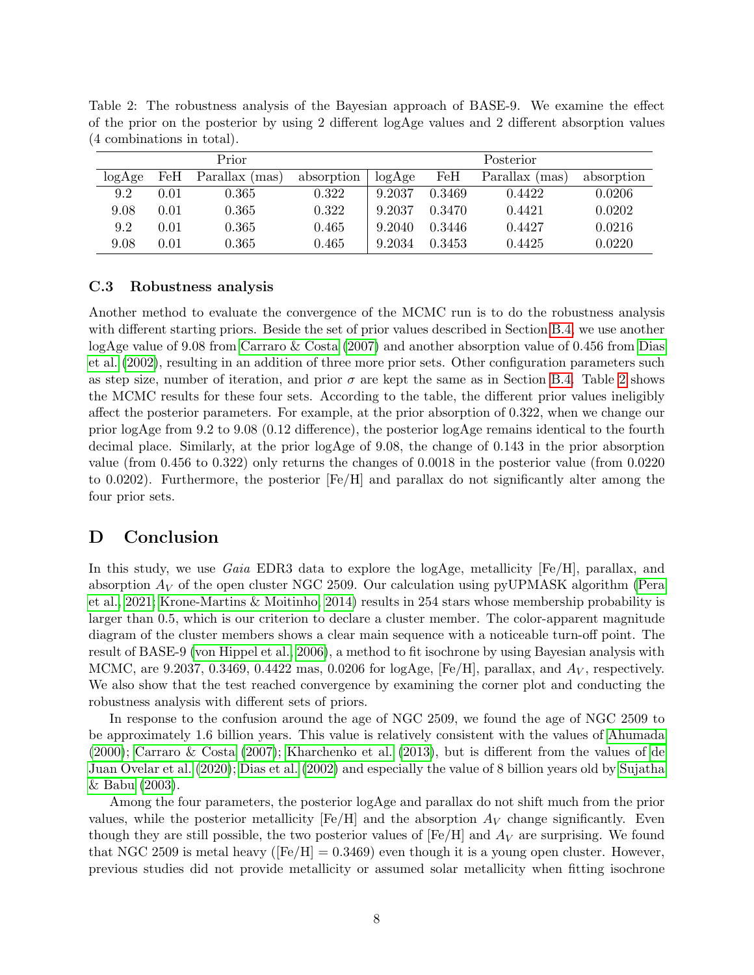| Prior  |      |                | Posterior  |        |        |                |            |
|--------|------|----------------|------------|--------|--------|----------------|------------|
| logAge | FeH  | Parallax (mas) | absorption | logAge | FeH    | Parallax (mas) | absorption |
| 9.2    | 0.01 | 0.365          | 0.322      | 9.2037 | 0.3469 | 0.4422         | 0.0206     |
| 9.08   | 0.01 | 0.365          | 0.322      | 9.2037 | 0.3470 | 0.4421         | 0.0202     |
| 9.2    | 0.01 | 0.365          | 0.465      | 9.2040 | 0.3446 | 0.4427         | 0.0216     |
| 9.08   | 0.01 | 0.365          | 0.465      | 9.2034 | 0.3453 | 0.4425         | 0.0220     |

<span id="page-7-1"></span>Table 2: The robustness analysis of the Bayesian approach of BASE-9. We examine the effect of the prior on the posterior by using 2 different logAge values and 2 different absorption values (4 combinations in total).

### C.3 Robustness analysis

Another method to evaluate the convergence of the MCMC run is to do the robustness analysis with different starting priors. Beside the set of prior values described in Section [B.4,](#page-3-1) we use another logAge value of 9.08 from [Carraro & Costa](#page-8-3) [\(2007\)](#page-8-3) and another absorption value of 0.456 from [Dias](#page-8-15) [et al.](#page-8-15) [\(2002\)](#page-8-15), resulting in an addition of three more prior sets. Other configuration parameters such as step size, number of iteration, and prior  $\sigma$  are kept the same as in Section [B.4.](#page-3-1) Table [2](#page-7-1) shows the MCMC results for these four sets. According to the table, the different prior values ineligibly affect the posterior parameters. For example, at the prior absorption of 0.322, when we change our prior logAge from 9.2 to 9.08 (0.12 difference), the posterior logAge remains identical to the fourth decimal place. Similarly, at the prior logAge of 9.08, the change of 0.143 in the prior absorption value (from 0.456 to 0.322) only returns the changes of 0.0018 in the posterior value (from 0.0220 to 0.0202). Furthermore, the posterior [Fe/H] and parallax do not significantly alter among the four prior sets.

## <span id="page-7-0"></span>D Conclusion

In this study, we use Gaia EDR3 data to explore the logAge, metallicity [Fe/H], parallax, and absorption  $A_V$  of the open cluster NGC 2509. Our calculation using pyUPMASK algorithm [\(Pera](#page-8-11) [et al., 2021;](#page-8-11) [Krone-Martins & Moitinho, 2014\)](#page-8-12) results in 254 stars whose membership probability is larger than 0.5, which is our criterion to declare a cluster member. The color-apparent magnitude diagram of the cluster members shows a clear main sequence with a noticeable turn-off point. The result of BASE-9 [\(von Hippel et al., 2006\)](#page-9-2), a method to fit isochrone by using Bayesian analysis with MCMC, are 9.2037, 0.3469, 0.4422 mas, 0.0206 for logAge,  $[Fe/H]$ , parallax, and  $A_V$ , respectively. We also show that the test reached convergence by examining the corner plot and conducting the robustness analysis with different sets of priors.

In response to the confusion around the age of NGC 2509, we found the age of NGC 2509 to be approximately 1.6 billion years. This value is relatively consistent with the values of [Ahumada](#page-8-4) [\(2000\)](#page-8-4); [Carraro & Costa](#page-8-3) [\(2007\)](#page-8-3); [Kharchenko et al.](#page-8-0) [\(2013\)](#page-8-0), but is different from the values of [de](#page-8-5) [Juan Ovelar et al.](#page-8-5) [\(2020\)](#page-8-5); [Dias et al.](#page-8-15) [\(2002\)](#page-8-15) and especially the value of 8 billion years old by [Sujatha](#page-9-1) [& Babu](#page-9-1) [\(2003\)](#page-9-1).

Among the four parameters, the posterior logAge and parallax do not shift much from the prior values, while the posterior metallicity  $[Fe/H]$  and the absorption  $A_V$  change significantly. Even though they are still possible, the two posterior values of  $[Fe/H]$  and  $A_V$  are surprising. We found that NGC 2509 is metal heavy ( $[Fe/H] = 0.3469$ ) even though it is a young open cluster. However, previous studies did not provide metallicity or assumed solar metallicity when fitting isochrone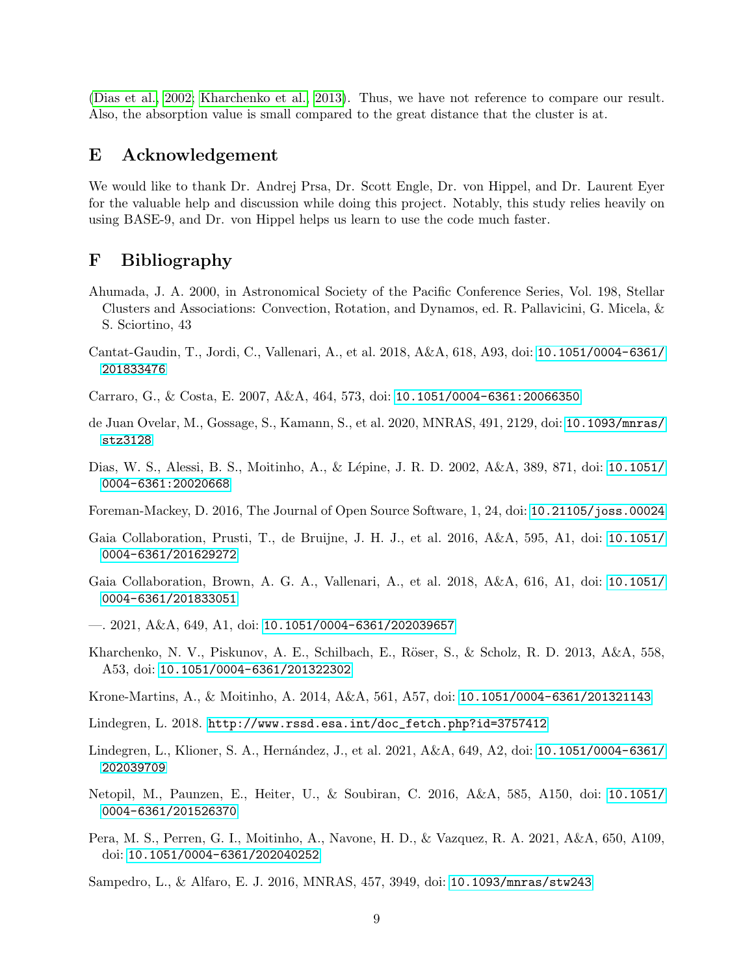[\(Dias et al., 2002;](#page-8-15) [Kharchenko et al., 2013\)](#page-8-0). Thus, we have not reference to compare our result. Also, the absorption value is small compared to the great distance that the cluster is at.

### E Acknowledgement

We would like to thank Dr. Andrej Prsa, Dr. Scott Engle, Dr. von Hippel, and Dr. Laurent Eyer for the valuable help and discussion while doing this project. Notably, this study relies heavily on using BASE-9, and Dr. von Hippel helps us learn to use the code much faster.

### F Bibliography

- <span id="page-8-4"></span>Ahumada, J. A. 2000, in Astronomical Society of the Pacific Conference Series, Vol. 198, Stellar Clusters and Associations: Convection, Rotation, and Dynamos, ed. R. Pallavicini, G. Micela, & S. Sciortino, 43
- <span id="page-8-1"></span>Cantat-Gaudin, T., Jordi, C., Vallenari, A., et al. 2018, A&A, 618, A93, doi: [10.1051/0004-6361/](http://doi.org/10.1051/0004-6361/201833476) [201833476](http://doi.org/10.1051/0004-6361/201833476)
- <span id="page-8-3"></span>Carraro, G., & Costa, E. 2007, A&A, 464, 573, doi: [10.1051/0004-6361:20066350](http://doi.org/10.1051/0004-6361:20066350)
- <span id="page-8-5"></span>de Juan Ovelar, M., Gossage, S., Kamann, S., et al. 2020, MNRAS, 491, 2129, doi: [10.1093/mnras/](http://doi.org/10.1093/mnras/stz3128) [stz3128](http://doi.org/10.1093/mnras/stz3128)
- <span id="page-8-15"></span>Dias, W. S., Alessi, B. S., Moitinho, A., & L´epine, J. R. D. 2002, A&A, 389, 871, doi: [10.1051/](http://doi.org/10.1051/0004-6361:20020668) [0004-6361:20020668](http://doi.org/10.1051/0004-6361:20020668)
- <span id="page-8-14"></span>Foreman-Mackey, D. 2016, The Journal of Open Source Software, 1, 24, doi: [10.21105/joss.00024](http://doi.org/10.21105/joss.00024)
- <span id="page-8-6"></span>Gaia Collaboration, Prusti, T., de Bruijne, J. H. J., et al. 2016, A&A, 595, A1, doi: [10.1051/](http://doi.org/10.1051/0004-6361/201629272) [0004-6361/201629272](http://doi.org/10.1051/0004-6361/201629272)
- <span id="page-8-2"></span>Gaia Collaboration, Brown, A. G. A., Vallenari, A., et al. 2018, A&A, 616, A1, doi: [10.1051/](http://doi.org/10.1051/0004-6361/201833051) [0004-6361/201833051](http://doi.org/10.1051/0004-6361/201833051)
- <span id="page-8-7"></span> $-$ . 2021, A&A, 649, A1, doi: [10.1051/0004-6361/202039657](http://doi.org/10.1051/0004-6361/202039657)
- <span id="page-8-0"></span>Kharchenko, N. V., Piskunov, A. E., Schilbach, E., Röser, S., & Scholz, R. D. 2013, A&A, 558, A53, doi: [10.1051/0004-6361/201322302](http://doi.org/10.1051/0004-6361/201322302)
- <span id="page-8-12"></span>Krone-Martins, A., & Moitinho, A. 2014, A&A, 561, A57, doi: [10.1051/0004-6361/201321143](http://doi.org/10.1051/0004-6361/201321143)
- <span id="page-8-10"></span>Lindegren, L. 2018. [http://www.rssd.esa.int/doc\\_fetch.php?id=3757412](http://www.rssd.esa.int/doc_fetch.php?id=3757412)
- <span id="page-8-9"></span>Lindegren, L., Klioner, S. A., Hernández, J., et al. 2021, A&A, 649, A2, doi: [10.1051/0004-6361/](http://doi.org/10.1051/0004-6361/202039709) [202039709](http://doi.org/10.1051/0004-6361/202039709)
- <span id="page-8-13"></span>Netopil, M., Paunzen, E., Heiter, U., & Soubiran, C. 2016, A&A, 585, A150, doi: [10.1051/](http://doi.org/10.1051/0004-6361/201526370) [0004-6361/201526370](http://doi.org/10.1051/0004-6361/201526370)
- <span id="page-8-11"></span>Pera, M. S., Perren, G. I., Moitinho, A., Navone, H. D., & Vazquez, R. A. 2021, A&A, 650, A109, doi: [10.1051/0004-6361/202040252](http://doi.org/10.1051/0004-6361/202040252)

<span id="page-8-8"></span>Sampedro, L., & Alfaro, E. J. 2016, MNRAS, 457, 3949, doi: [10.1093/mnras/stw243](http://doi.org/10.1093/mnras/stw243)